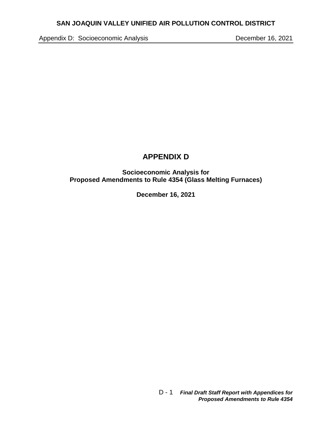Appendix D: Socioeconomic Analysis December 16, 2021

# **APPENDIX D**

**Socioeconomic Analysis for Proposed Amendments to Rule 4354 (Glass Melting Furnaces)**

**December 16, 2021**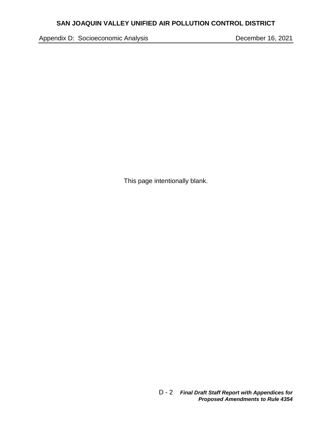# **SAN JOAQUIN VALLEY UNIFIED AIR POLLUTION CONTROL DISTRICT**

Appendix D: Socioeconomic Analysis **December 16, 2021** 

This page intentionally blank.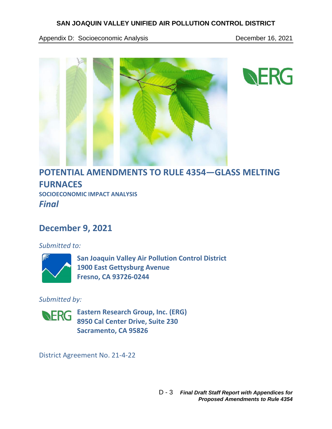# **SAN JOAQUIN VALLEY UNIFIED AIR POLLUTION CONTROL DISTRICT**

Appendix D: Socioeconomic Analysis December 16, 2021





# **POTENTIAL AMENDMENTS TO RULE 4354—GLASS MELTING FURNACES SOCIOECONOMIC IMPACT ANALYSIS** *Final*

# **December 9, 2021**

*Submitted to:*



**San Joaquin Valley Air Pollution Control District 1900 East Gettysburg Avenue Fresno, CA 93726-0244**

*Submitted by:*



**ERG** Eastern Research Group, Inc. (ERG) **8950 Cal Center Drive, Suite 230 Sacramento, CA 95826**

District Agreement No. 21-4-22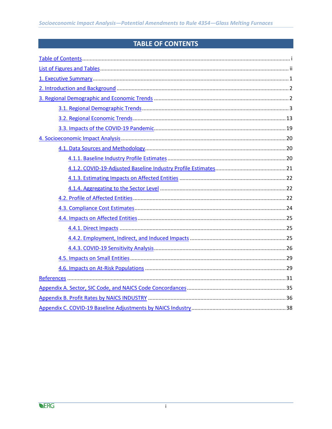# **TABLE OF CONTENTS**

<span id="page-3-0"></span>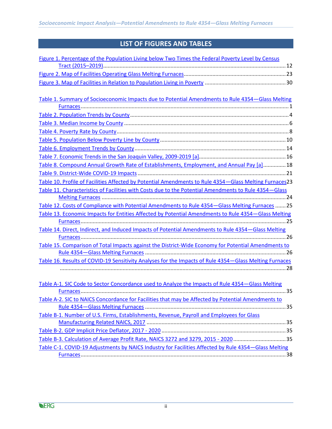# **LIST OF FIGURES AND TABLES**

<span id="page-4-0"></span>

| Figure 1. Percentage of the Population Living below Two Times the Federal Poverty Level by Census        |  |
|----------------------------------------------------------------------------------------------------------|--|
|                                                                                                          |  |
|                                                                                                          |  |
|                                                                                                          |  |
| Table 1. Summary of Socioeconomic Impacts due to Potential Amendments to Rule 4354 - Glass Melting       |  |
|                                                                                                          |  |
|                                                                                                          |  |
|                                                                                                          |  |
|                                                                                                          |  |
|                                                                                                          |  |
|                                                                                                          |  |
| Table 8. Compound Annual Growth Rate of Establishments, Employment, and Annual Pay [a]  18               |  |
|                                                                                                          |  |
| Table 10. Profile of Facilities Affected by Potential Amendments to Rule 4354 - Glass Melting Furnaces23 |  |
| Table 11. Characteristics of Facilities with Costs due to the Potential Amendments to Rule 4354 - Glass  |  |
|                                                                                                          |  |
| Table 12. Costs of Compliance with Potential Amendments to Rule 4354 - Glass Melting Furnaces  25        |  |
| Table 13. Economic Impacts for Entities Affected by Potential Amendments to Rule 4354 - Glass Melting    |  |
| Table 14. Direct, Indirect, and Induced Impacts of Potential Amendments to Rule 4354-Glass Melting       |  |
|                                                                                                          |  |
| Table 15. Comparison of Total Impacts against the District-Wide Economy for Potential Amendments to      |  |
|                                                                                                          |  |
| Table 16. Results of COVID-19 Sensitivity Analyses for the Impacts of Rule 4354 - Glass Melting Furnaces |  |
|                                                                                                          |  |
| Table A-1. SIC Code to Sector Concordance used to Analyze the Impacts of Rule 4354–Glass Melting         |  |
| Table A-2. SIC to NAICS Concordance for Facilities that may be Affected by Potential Amendments to       |  |
|                                                                                                          |  |
| Table B-1. Number of U.S. Firms, Establishments, Revenue, Payroll and Employees for Glass                |  |
|                                                                                                          |  |
|                                                                                                          |  |
| Table B-3. Calculation of Average Profit Rate, NAICS 3272 and 3279, 2015 - 2020 35                       |  |
| Table C-1. COVID-19 Adjustments by NAICS Industry for Facilities Affected by Rule 4354–Glass Melting     |  |
|                                                                                                          |  |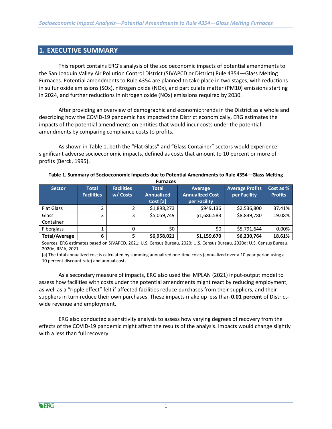# <span id="page-5-0"></span>**1. EXECUTIVE SUMMARY**

This report contains ERG's analysis of the socioeconomic impacts of potential amendments to the San Joaquin Valley Air Pollution Control District (SJVAPCD or District) Rule 4354—Glass Melting Furnaces. Potential amendments to Rule 4354 are planned to take place in two stages, with reductions in sulfur oxide emissions (SOx), nitrogen oxide (NOx), and particulate matter (PM10) emissions starting in 2024, and further reductions in nitrogen oxide (NOx) emissions required by 2030.

After providing an overview of demographic and economic trends in the District as a whole and describing how the COVID-19 pandemic has impacted the District economically, ERG estimates the impacts of the potential amendments on entities that would incur costs under the potential amendments by comparing compliance costs to profits.

As shown in [Table 1,](#page-5-1) both the "Flat Glass" and "Glass Container" sectors would experience significant adverse socioeconomic impacts, defined as costs that amount to 10 percent or more of profits (Berck, 1995).

| <b>Sector</b>        | <b>Total</b>      | <b>Facilities</b> | <b>Total</b>      | Average                | <b>Average Profits</b> | Cost as %      |
|----------------------|-------------------|-------------------|-------------------|------------------------|------------------------|----------------|
|                      | <b>Facilities</b> | w/ Costs          | <b>Annualized</b> | <b>Annualized Cost</b> | per Facility           | <b>Profits</b> |
|                      |                   |                   | Cost [a]          | per Facility           |                        |                |
| <b>Flat Glass</b>    |                   |                   | \$1,898,273       | \$949,136              | \$2,536,800            | 37.41%         |
| Glass                | 3                 | 3                 | \$5,059,749       | \$1,686,583            | \$8,839,780            | 19.08%         |
| Container            |                   |                   |                   |                        |                        |                |
| <b>Fiberglass</b>    |                   |                   | \$0               | \$0                    | \$5,791,644            | 0.00%          |
| <b>Total/Average</b> | 6                 |                   | \$6,958,021       | \$1,159,670            | \$6,230,764            | 18.61%         |

<span id="page-5-1"></span>**Table 1. Summary of Socioeconomic Impacts due to Potential Amendments to Rule 4354—Glass Melting Furnaces**

Sources: ERG estimates based on SJVAPCD, 2021; U.S. Census Bureau, 2020; U.S. Census Bureau, 2020d; U.S. Census Bureau, 2020e; RMA, 2021.

[a] The total annualized cost is calculated by summing annualized one-time costs (annualized over a 10-year period using a 10 percent discount rate) and annual costs.

As a secondary measure of impacts, ERG also used the IMPLAN (2021) input-output model to assess how facilities with costs under the potential amendments might react by reducing employment, as well as a "ripple effect" felt if affected facilities reduce purchases from their suppliers, and their suppliers in turn reduce their own purchases. These impacts make up less than **0.01 percent** of Districtwide revenue and employment.

ERG also conducted a sensitivity analysis to assess how varying degrees of recovery from the effects of the COVID-19 pandemic might affect the results of the analysis. Impacts would change slightly with a less than full recovery.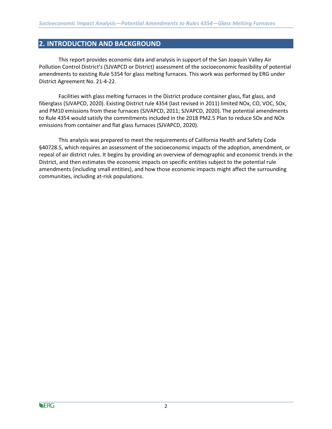# <span id="page-6-0"></span>**2. INTRODUCTION AND BACKGROUND**

<span id="page-6-1"></span>This report provides economic data and analysis in support of the San Joaquin Valley Air Pollution Control District's (SJVAPCD or District) assessment of the socioeconomic feasibility of potential amendments to existing Rule 5354 for glass melting furnaces. This work was performed by ERG under District Agreement No. 21-4-22.

Facilities with glass melting furnaces in the District produce container glass, flat glass, and fiberglass (SJVAPCD, 2020). Existing District rule 4354 (last revised in 2011) limited NOx, CO, VOC, SOx, and PM10 emissions from these furnaces (SJVAPCD, 2011; SJVAPCD, 2020). The potential amendments to Rule 4354 would satisfy the commitments included in the 2018 PM2.5 Plan to reduce SOx and NOx emissions from container and flat glass furnaces (SJVAPCD, 2020).

This analysis was prepared to meet the requirements of California Health and Safety Code §40728.5, which requires an assessment of the socioeconomic impacts of the adoption, amendment, or repeal of air district rules. It begins by providing an overview of demographic and economic trends in the District, and then estimates the economic impacts on specific entities subject to the potential rule amendments (including small entities), and how those economic impacts might affect the surrounding communities, including at-risk populations.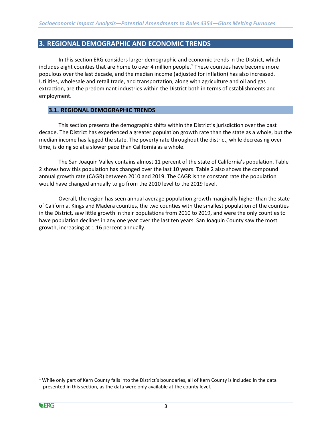# **3. REGIONAL DEMOGRAPHIC AND ECONOMIC TRENDS**

In this section ERG considers larger demographic and economic trends in the District, which includes eight counties that are home to over 4 million people.<sup>[1](#page-7-1)</sup> These counties have become more populous over the last decade, and the median income (adjusted for inflation) has also increased. Utilities, wholesale and retail trade, and transportation, along with agriculture and oil and gas extraction, are the predominant industries within the District both in terms of establishments and employment.

# <span id="page-7-0"></span>**3.1. REGIONAL DEMOGRAPHIC TRENDS**

This section presents the demographic shifts within the District's jurisdiction over the past decade. The District has experienced a greater population growth rate than the state as a whole, but the median income has lagged the state. The poverty rate throughout the district, while decreasing over time, is doing so at a slower pace than California as a whole.

The San Joaquin Valley contains almost 11 percent of the state of California's population. [Table](#page-8-0)  [2](#page-8-0) shows how this population has changed over the last 10 years. [Table 2](#page-8-0) also shows the compound annual growth rate (CAGR) between 2010 and 2019. The CAGR is the constant rate the population would have changed annually to go from the 2010 level to the 2019 level.

Overall, the region has seen annual average population growth marginally higher than the state of California. Kings and Madera counties, the two counties with the smallest population of the counties in the District, saw little growth in their populations from 2010 to 2019, and were the only counties to have population declines in any one year over the last ten years. San Joaquin County saw the most growth, increasing at 1.16 percent annually.

<span id="page-7-1"></span><sup>&</sup>lt;sup>1</sup> While only part of Kern County falls into the District's boundaries, all of Kern County is included in the data presented in this section, as the data were only available at the county level.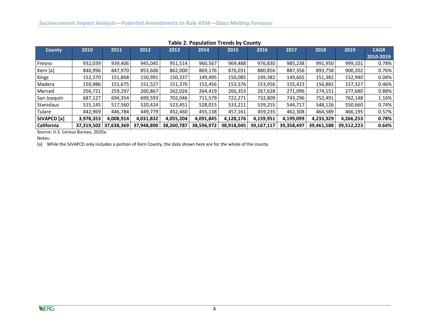| <b>County</b> | 2010       | 2011       | 2012       | 2013       | 2014       | 2015       | 2016       | 2017       | 2018       | 2019       | <b>CAGR</b> |
|---------------|------------|------------|------------|------------|------------|------------|------------|------------|------------|------------|-------------|
|               |            |            |            |            |            |            |            |            |            |            | 2010-2019   |
| Fresno        | 932,039    | 939,406    | 945,045    | 951,514    | 960,567    | 969,488    | 976,830    | 985,238    | 991,950    | 999,101    | 0.78%       |
| Kern [a]      | 840,996    | 847,970    | 853,606    | 862,000    | 869,176    | 876,031    | 880,856    | 887,356    | 893,758    | 900,202    | 0.76%       |
| Kings         | 152.370    | 151.868    | 150.991    | 150.337    | 149,495    | 150,085    | 149,382    | 149,665    | 151,382    | 152,940    | 0.04%       |
| Madera        | 150,986    | 151,675    | 151,527    | 151,370    | 153,456    | 153,576    | 153,956    | 155,423    | 156,882    | 157,327    | 0.46%       |
| Merced        | 256,721    | 259,297    | 260,867    | 262,026    | 264,419    | 266,353    | 267,628    | 271,096    | 274,151    | 277,680    | 0.88%       |
| San Joaquin   | 687,127    | 694,354    | 699,593    | 702.046    | 711,579    | 722,271    | 732,809    | 743,296    | 752,491    | 762,148    | 1.16%       |
| Stanislaus    | 515,145    | 517,560    | 520,424    | 523,451    | 528,015    | 533,211    | 539,255    | 544,717    | 548,126    | 550,660    | 0.74%       |
| Tulare        | 442.969    | 446.784    | 449.779    | 452,460    | 455,138    | 457,161    | 459,235    | 462,308    | 464,589    | 466,195    | 0.57%       |
| SJVAPCD [a]   | 3,978,353  | 4,008,914  | 4,031,832  | 4,055,204  | 4,091,845  | 4,128,176  | 4,159,951  | 4,199,099  | 4,233,329  | 4,266,253  | 0.78%       |
| California    | 37,319,502 | 37,638,369 | 37,948,800 | 38,260,787 | 38,596,972 | 38,918,045 | 39,167,117 | 39,358,497 | 39,461,588 | 39,512,223 | 0.64%       |

#### **Table 2. Population Trends by County**

Source: U.S. Census Bureau, 2020a.

<span id="page-8-0"></span>Notes:

[a] While the SJVAPCD only includes a portion of Kern County, the data shown here are for the whole of the county.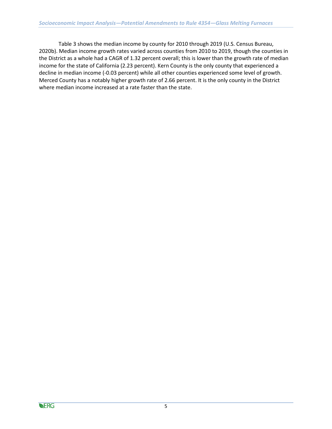[Table 3](#page-10-0) shows the median income by county for 2010 through 2019 (U.S. Census Bureau, 2020b). Median income growth rates varied across counties from 2010 to 2019, though the counties in the District as a whole had a CAGR of 1.32 percent overall; this is lower than the growth rate of median income for the state of California (2.23 percent). Kern County is the only county that experienced a decline in median income (-0.03 percent) while all other counties experienced some level of growth. Merced County has a notably higher growth rate of 2.66 percent. It is the only county in the District where median income increased at a rate faster than the state.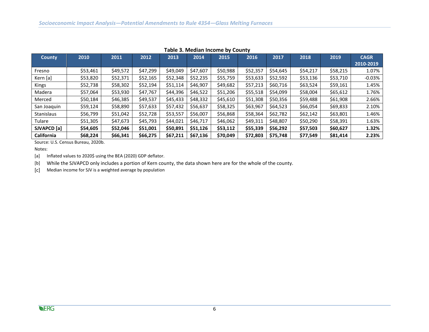|                   |          |          |          |          |          | Table 3. Median Income by County |          |          |          |          |             |
|-------------------|----------|----------|----------|----------|----------|----------------------------------|----------|----------|----------|----------|-------------|
| <b>County</b>     | 2010     | 2011     | 2012     | 2013     | 2014     | 2015                             | 2016     | 2017     | 2018     | 2019     | <b>CAGR</b> |
|                   |          |          |          |          |          |                                  |          |          |          |          | 2010-2019   |
| Fresno            | \$53,461 | \$49,572 | \$47,299 | \$49,049 | \$47,607 | \$50,988                         | \$52,357 | \$54,645 | \$54,217 | \$58,215 | 1.07%       |
| Kern [a]          | \$53,820 | \$52,371 | \$52,165 | \$52,348 | \$52,235 | \$55,759                         | \$53,633 | \$52,592 | \$53,136 | \$53,710 | $-0.03%$    |
| Kings             | \$52,738 | \$58,302 | \$52,194 | \$51,114 | \$46,907 | \$49,682                         | \$57,213 | \$60,716 | \$63,524 | \$59,161 | 1.45%       |
| Madera            | \$57,064 | \$53,930 | \$47,767 | \$44,396 | \$46,522 | \$51,206                         | \$55,518 | \$54,099 | \$58,004 | \$65,612 | 1.76%       |
| Merced            | \$50,184 | \$46,385 | \$49,537 | \$45,433 | \$48,332 | \$45,610                         | \$51,308 | \$50,356 | \$59,488 | \$61,908 | 2.66%       |
| San Joaquin       | \$59,124 | \$58,890 | \$57,633 | \$57,432 | \$56,637 | \$58,325                         | \$63,967 | \$64,523 | \$66,054 | \$69,833 | 2.10%       |
| <b>Stanislaus</b> | \$56,799 | \$51,042 | \$52,728 | \$53,557 | \$56,007 | \$56,868                         | \$58,364 | \$62,782 | \$62,142 | \$63,801 | 1.46%       |
| Tulare            | \$51,305 | \$47,673 | \$45,793 | \$44,021 | \$46,717 | \$46,062                         | \$49,311 | \$48,807 | \$50,290 | \$58,391 | 1.63%       |
| SJVAPCD [a]       | \$54,605 | \$52,046 | \$51,001 | \$50,891 | \$51,126 | \$53,112                         | \$55,339 | \$56,292 | \$57,503 | \$60,627 | 1.32%       |
| <b>California</b> | \$68,224 | \$66,341 | \$66,275 | \$67,211 | \$67,136 | \$70,049                         | \$72,803 | \$75,748 | \$77,549 | \$81,414 | 2.23%       |

**Table 3. Median Income by County**

Source: U.S. Census Bureau, 2020b.

<span id="page-10-0"></span>Notes:

[a] Inflated values to 2020\$ using the BEA (2020) GDP deflator.

[b] While the SJVAPCD only includes a portion of Kern county, the data shown here are for the whole of the county.

[c] Median income for SJV is a weighted average by population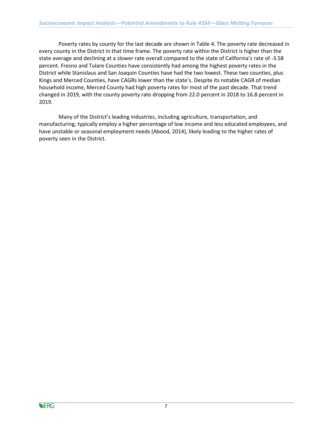Poverty rates by county for the last decade are shown in [Table 4.](#page-12-0) The poverty rate decreased in every county in the District in that time frame. The poverty rate within the District is higher than the state average and declining at a slower rate overall compared to the state of California's rate of -3.58 percent. Fresno and Tulare Counties have consistently had among the highest poverty rates in the District while Stanislaus and San Joaquin Counties have had the two lowest. These two counties, plus Kings and Merced Counties, have CAGRs lower than the state's. Despite its notable CAGR of median household income, Merced County had high poverty rates for most of the past decade. That trend changed in 2019, with the county poverty rate dropping from 22.0 percent in 2018 to 16.8 percent in 2019.

Many of the District's leading industries, including agriculture, transportation, and manufacturing, typically employ a higher percentage of low income and less educated employees, and have unstable or seasonal employment needs (Abood, 2014), likely leading to the higher rates of poverty seen in the District.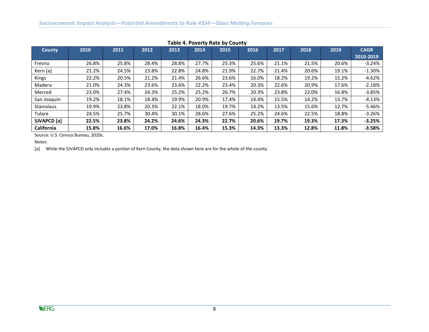|               |       |       |       |       |       | $1.491C + 1.1.91C + 1.91C + 1.91C + 1.91C + 1.01C + 1.01C + 1.01C + 1.01C + 1.01C + 1.01C + 1.01C + 1.01C + 1.01C + 1.01C + 1.01C + 1.01C + 1.01C + 1.01C + 1.01C + 1.01C + 1.01C + 1.01C + 1.01C + 1.01C + 1.01C + 1.01C + 1.01C + 1.01C + 1.01C + 1.01C + $ |       |       |       |       |             |
|---------------|-------|-------|-------|-------|-------|---------------------------------------------------------------------------------------------------------------------------------------------------------------------------------------------------------------------------------------------------------------|-------|-------|-------|-------|-------------|
| <b>County</b> | 2010  | 2011  | 2012  | 2013  | 2014  | 2015                                                                                                                                                                                                                                                          | 2016  | 2017  | 2018  | 2019  | <b>CAGR</b> |
|               |       |       |       |       |       |                                                                                                                                                                                                                                                               |       |       |       |       | 2010-2019   |
| Fresno        | 26.8% | 25.8% | 28.4% | 28.8% | 27.7% | 25.3%                                                                                                                                                                                                                                                         | 25.6% | 21.1% | 21.5% | 20.6% | $-3.24%$    |
| Kern [a]      | 21.2% | 24.5% | 23.8% | 22.8% | 24.8% | 21.9%                                                                                                                                                                                                                                                         | 22.7% | 21.4% | 20.6% | 19.1% | $-1.30\%$   |
| Kings         | 22.2% | 20.5% | 21.2% | 21.4% | 26.6% | 23.6%                                                                                                                                                                                                                                                         | 16.0% | 18.2% | 19.2% | 15.2% | $-4.62%$    |
| Madera        | 21.0% | 24.3% | 23.6% | 23.6% | 22.2% | 23.4%                                                                                                                                                                                                                                                         | 20.3% | 22.6% | 20.9% | 17.6% | $-2.18%$    |
| Merced        | 23.0% | 27.4% | 24.3% | 25.2% | 25.2% | 26.7%                                                                                                                                                                                                                                                         | 20.3% | 23.8% | 22.0% | 16.8% | $-3.85%$    |
| San Joaquin   | 19.2% | 18.1% | 18.4% | 19.9% | 20.9% | 17.4%                                                                                                                                                                                                                                                         | 14.4% | 15.5% | 14.2% | 13.7% | $-4.13%$    |
| Stanislaus    | 19.9% | 23.8% | 20.3% | 22.1% | 18.0% | 19.7%                                                                                                                                                                                                                                                         | 14.2% | 13.5% | 15.6% | 12.7% | $-5.46%$    |
| Tulare        | 24.5% | 25.7% | 30.4% | 30.1% | 28.6% | 27.6%                                                                                                                                                                                                                                                         | 25.2% | 24.6% | 22.5% | 18.8% | $-3.26%$    |
| SJVAPCD [a]   | 22.5% | 23.8% | 24.2% | 24.6% | 24.3% | 22.7%                                                                                                                                                                                                                                                         | 20.6% | 19.7% | 19.3% | 17.3% | $-3.25%$    |
| California    | 15.8% | 16.6% | 17.0% | 16.8% | 16.4% | 15.3%                                                                                                                                                                                                                                                         | 14.3% | 13.3% | 12.8% | 11.8% | $-3.58%$    |

#### **Table 4. Poverty Rate by County**

Source: U.S. Census Bureau, 2020c.

<span id="page-12-0"></span>Notes:

[a] While the SJVAPCD only includes a portion of Kern County, the data shown here are for the whole of the county.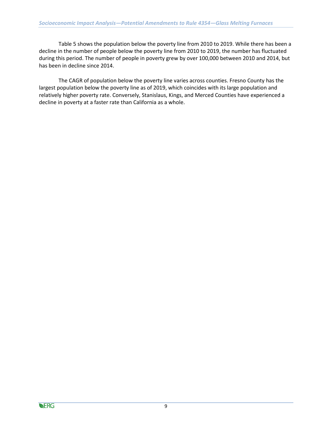[Table 5](#page-14-0) shows the population below the poverty line from 2010 to 2019. While there has been a decline in the number of people below the poverty line from 2010 to 2019, the number has fluctuated during this period. The number of people in poverty grew by over 100,000 between 2010 and 2014, but has been in decline since 2014.

The CAGR of population below the poverty line varies across counties. Fresno County has the largest population below the poverty line as of 2019, which coincides with its large population and relatively higher poverty rate. Conversely, Stanislaus, Kings, and Merced Counties have experienced a decline in poverty at a faster rate than California as a whole.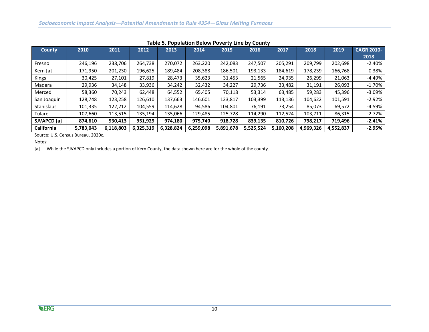| County      | 2010      | 2011      | 2012      | 2013      | 2014      | 2015      | 2016      | 2017      | 2018      | 2019      | <b>CAGR 2010-</b> |
|-------------|-----------|-----------|-----------|-----------|-----------|-----------|-----------|-----------|-----------|-----------|-------------------|
|             |           |           |           |           |           |           |           |           |           |           | 2018              |
| Fresno      | 246.196   | 238.706   | 264.738   | 270.072   | 263.220   | 242.083   | 247,507   | 205,291   | 209.799   | 202,698   | $-2.40%$          |
| Kern [a]    | 171,950   | 201,230   | 196,625   | 189,484   | 208,388   | 186,501   | 193,133   | 184,619   | 178,239   | 166,768   | $-0.38%$          |
| Kings       | 30,425    | 27,101    | 27,819    | 28,473    | 35,623    | 31,453    | 21,565    | 24,935    | 26,299    | 21,063    | $-4.49%$          |
| Madera      | 29,936    | 34,148    | 33,936    | 34,242    | 32,432    | 34,227    | 29,736    | 33,482    | 31,191    | 26,093    | $-1.70%$          |
| Merced      | 58,360    | 70,243    | 62,448    | 64,552    | 65,405    | 70,118    | 53,314    | 63,485    | 59,283    | 45,396    | $-3.09%$          |
| San Joaquin | 128,748   | 123,258   | 126,610   | 137,663   | 146,601   | 123,817   | 103,399   | 113,136   | 104,622   | 101,591   | $-2.92%$          |
| Stanislaus  | 101,335   | 122,212   | 104,559   | 114.628   | 94,586    | 104,801   | 76,191    | 73,254    | 85,073    | 69,572    | $-4.59%$          |
| Tulare      | 107,660   | 113,515   | 135.194   | 135.066   | 129,485   | 125,728   | 114,290   | 112,524   | 103.711   | 86,315    | $-2.72%$          |
| SJVAPCD [a] | 874,610   | 930.413   | 951,929   | 974.180   | 975.740   | 918.728   | 839.135   | 810,726   | 798.217   | 719,496   | $-2.41%$          |
| California  | 5,783,043 | 6,118,803 | 6,325,319 | 6,328,824 | 6,259,098 | 5,891,678 | 5,525,524 | 5,160,208 | 4,969,326 | 4,552,837 | $-2.95%$          |

**Table 5. Population Below Poverty Line by County**

Source: U.S. Census Bureau, 2020c.

<span id="page-14-0"></span>Notes:

[a] While the SJVAPCD only includes a portion of Kern County, the data shown here are for the whole of the county.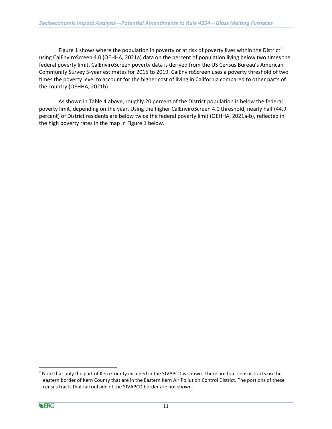[Figure 1](#page-16-0) shows where the population in poverty or at risk of poverty lives within the District<sup>2</sup> using CalEnviroScreen 4.0 (OEHHA, 2021a) data on the percent of population living below two times the federal poverty limit. CalEnviroScreen poverty data is derived from the US Census Bureau's American Community Survey 5-year estimates for 2015 to 2019. CalEnviroScreen uses a poverty threshold of two times the poverty level to account for the higher cost of living in California compared to other parts of the country (OEHHA, 2021b).

As shown in [Table 4](#page-12-0) above, roughly 20 percent of the District population is below the federal poverty limit, depending on the year. Using the higher CalEnviroScreen 4.0 threshold, nearly half (44.9 percent) of District residents are below twice the federal poverty limit (OEHHA, 2021a-b), reflected in the high poverty rates in the map i[n Figure 1](#page-16-0) below.

<span id="page-15-0"></span><sup>&</sup>lt;sup>2</sup> Note that only the part of Kern County included in the SJVAPCD is shown. There are four census tracts on the eastern border of Kern County that are in the Eastern Kern Air Pollution Control District. The portions of these census tracts that fall outside of the SJVAPCD border are not shown.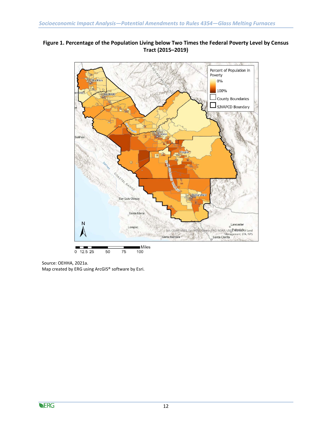<span id="page-16-0"></span>



Source: OEHHA, 2021a. Map created by ERG using ArcGIS® software by Esri.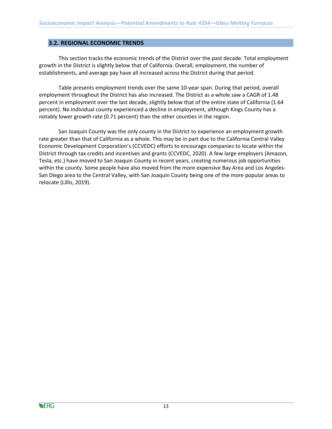## <span id="page-17-0"></span>**3.2. REGIONAL ECONOMIC TRENDS**

This section tracks the economic trends of the District over the past decade. Total employment growth in the District is slightly below that of California. Overall, employment, the number of establishments, and average pay have all increased across the District during that period.

[Table](#page-18-0) presents employment trends over the same 10-year span. During that period, overall employment throughout the District has also increased. The District as a whole saw a CAGR of 1.48 percent in employment over the last decade, slightly below that of the entire state of California (1.64 percent). No individual county experienced a decline in employment, although Kings County has a notably lower growth rate (0.71 percent) than the other counties in the region.

San Joaquin County was the only county in the District to experience an employment growth rate greater than that of California as a whole. This may be in part due to the California Central Valley Economic Development Corporation's (CCVEDC) efforts to encourage companies to locate within the District through tax credits and incentives and grants (CCVEDC, 2020). A few large employers (Amazon, Tesla, etc.) have moved to San Joaquin County in recent years, creating numerous job opportunities within the county. Some people have also moved from the more expensive Bay Area and Los Angeles-San Diego area to the Central Valley, with San Joaquin County being one of the more popular areas to relocate (Lillis, 2019).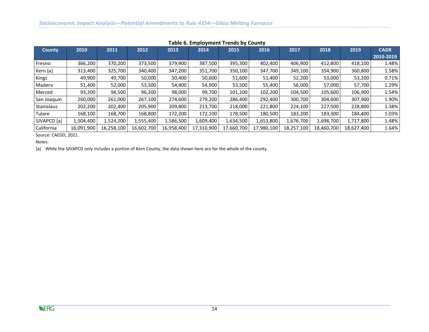|               |            |            |            |            | .          |            |            |            |            |            |             |
|---------------|------------|------------|------------|------------|------------|------------|------------|------------|------------|------------|-------------|
| <b>County</b> | 2010       | 2011       | 2012       | 2013       | 2014       | 2015       | 2016       | 2017       | 2018       | 2019       | <b>CAGR</b> |
|               |            |            |            |            |            |            |            |            |            |            | 2010-2019   |
| Fresno        | 366,200    | 370,200    | 373,500    | 379,900    | 387,500    | 395,300    | 402,400    | 406,900    | 412,800    | 418,100    | 1.48%       |
| Kern [a]      | 313,400    | 325,700    | 340,400    | 347,200    | 351,700    | 350,100    | 347,700    | 349,100    | 354,900    | 360,800    | 1.58%       |
| Kings         | 49,900     | 49,700     | 50,000     | 50,400     | 50,600     | 51,600     | 51,400     | 52,200     | 53,000     | 53,200     | 0.71%       |
| Madera        | 51,400     | 52,000     | 53,500     | 54,400     | 54,900     | 53,500     | 55,400     | 56,000     | 57,000     | 57,700     | 1.29%       |
| Merced        | 93,200     | 94,500     | 96,200     | 98,000     | 99.700     | 101,100    | 102,200    | 104,500    | 105,600    | 106,900    | 1.54%       |
| San Joaquin   | 260,000    | 261,000    | 267,100    | 274.600    | 279.200    | 286,400    | 292,400    | 300,700    | 304,600    | 307,900    | 1.90%       |
| Stanislaus    | 202,200    | 202,400    | 205,900    | 209.800    | 213.700    | 218,000    | 221,800    | 224,100    | 227,500    | 228,800    | 1.38%       |
| Tulare        | 168.100    | 168,700    | 168,800    | 172.200    | 172.100    | 178,500    | 180,500    | 183,200    | 183,300    | 184,400    | 1.03%       |
| SJVAPCD [a]   | 1,504,400  | 1,524,200  | 1,555,400  | 1,586,500  | 1,609,400  | 1,634,500  | 1,653,800  | 1,676,700  | 1,698,700  | 1,717,800  | 1.48%       |
| California    | 16,091,900 | 16,258,100 | 16,602,700 | 16,958,400 | 17,310,900 | 17,660,700 | 17,980,100 | 18,257,100 | 18,460,700 | 18,627,400 | 1.64%       |

#### **Table 6. Employment Trends by County**

Source: CAEDD, 2021.

<span id="page-18-0"></span>Notes:

[a] While the SJVAPCD only includes a portion of Kern County, the data shown here are for the whole of the county.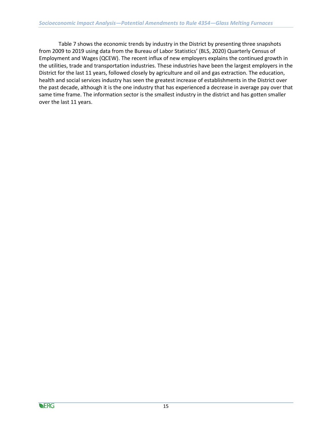[Table 7](#page-20-0) shows the economic trends by industry in the District by presenting three snapshots from 2009 to 2019 using data from the Bureau of Labor Statistics' (BLS, 2020) Quarterly Census of Employment and Wages (QCEW). The recent influx of new employers explains the continued growth in the utilities, trade and transportation industries. These industries have been the largest employers in the District for the last 11 years, followed closely by agriculture and oil and gas extraction. The education, health and social services industry has seen the greatest increase of establishments in the District over the past decade, although it is the one industry that has experienced a decrease in average pay over that same time frame. The information sector is the smallest industry in the district and has gotten smaller over the last 11 years.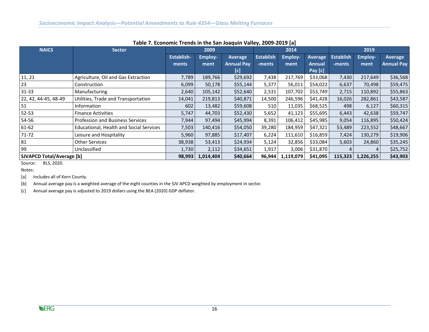| <b>NAICS</b>                     | <b>Sector</b>                                  |                   | 2009           |                          |                  | .<br>2014      |                          |                  | 2019      |                   |
|----------------------------------|------------------------------------------------|-------------------|----------------|--------------------------|------------------|----------------|--------------------------|------------------|-----------|-------------------|
|                                  |                                                | <b>Establish-</b> | <b>Employ-</b> | <b>Average</b>           | <b>Establish</b> | <b>Employ-</b> | <b>Average</b>           | <b>Establish</b> | Employ-   | Average           |
|                                  |                                                | ments             | ment           | <b>Annual Pay</b><br>[c] | -ments           | ment           | <b>Annual</b><br>Pay [c] | -ments           | ment      | <b>Annual Pay</b> |
| 11, 21                           | Agriculture, Oil and Gas Extraction            | 7,789             | 189,766        | \$29,692                 | 7,438            | 217,769        | \$33,068                 | 7,430            | 217,649   | \$36,568          |
| 23                               | Construction                                   | 6,099             | 50,178         | \$55,144                 | 5,377            | 56,011         | \$54,022                 | 6,637            | 70,498    | \$59,475          |
| 31-33                            | Manufacturing                                  | 2,640             | 105,142        | \$52,640                 | 2,531            | 107,702        | \$53,749                 | 2,715            | 110,892   | \$55,863          |
| 22, 42, 44-45, 48-49             | Utilities, Trade and Transportation            | 14,041            | 219,813        | \$40,871                 | 14,500           | 246,596        | \$41,428                 | 16,026           | 282,861   | \$43,587          |
| 51                               | Information                                    | 602               | 13,482         | \$59,608                 | 510              | 11,035         | \$68,525                 | 498              | 6,127     | \$60,315          |
| 52-53                            | <b>Finance Activities</b>                      | 5,747             | 44,703         | \$52,430                 | 5,652            | 41,123         | \$55,695                 | 6,443            | 42,638    | \$59,747          |
| 54-56                            | Profession and Business Services               | 7,944             | 97,494         | \$45,994                 | 8,391            | 106,412        | \$45,985                 | 9,054            | 116,895   | \$50,424          |
| 61-62                            | <b>Educational, Health and Social Services</b> | 7,503             | 140,416        | \$54,050                 | 39,280           | 184,959        | \$47,321                 | 53,489           | 223,552   | \$48,667          |
| 71-72                            | Leisure and Hospitality                        | 5,960             | 97,885         | \$17,407                 | 6,224            | 111,610        | \$16,859                 | 7,424            | 130,279   | \$19,906          |
| 81                               | <b>Other Services</b>                          | 38,938            | 53,413         | \$24,934                 | 5,124            | 32,856         | \$33,084                 | 5,603            | 24,860    | \$35,245          |
| 99                               | Unclassified                                   | 1,730             | 2,112          | \$34,651                 | 1,917            | 3,006          | \$31,870                 | 4                | 4         | \$25,752          |
| <b>SJVAPCD Total/Average [b]</b> |                                                | 98,993            | 1,014,404      | \$40,664                 | 96,944           | 1,119,079      | \$41,095                 | 115,323          | 1,226,255 | \$43,903          |

**Table 7. Economic Trends in the San Joaquin Valley, 2009-2019 [a]**

<span id="page-20-0"></span>Source: BLS, 2020.

Notes:

[a] Includes all of Kern County.

[b] Annual average pay is a weighted average of the eight counties in the SJV APCD weighted by employment in sector.

[c] Annual average pay is adjusted to 2019 dollars using the BEA (2020) GDP deflator.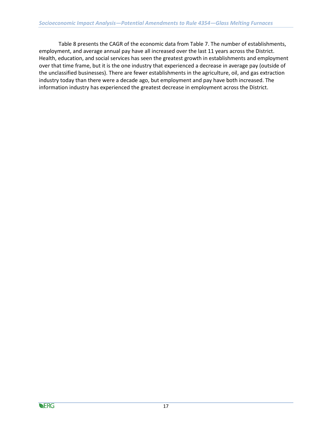[Table 8](#page-22-0) presents the CAGR of the economic data from [Table 7.](#page-20-0) The number of establishments, employment, and average annual pay have all increased over the last 11 years across the District. Health, education, and social services has seen the greatest growth in establishments and employment over that time frame, but it is the one industry that experienced a decrease in average pay (outside of the unclassified businesses). There are fewer establishments in the agriculture, oil, and gas extraction industry today than there were a decade ago, but employment and pay have both increased. The information industry has experienced the greatest decrease in employment across the District.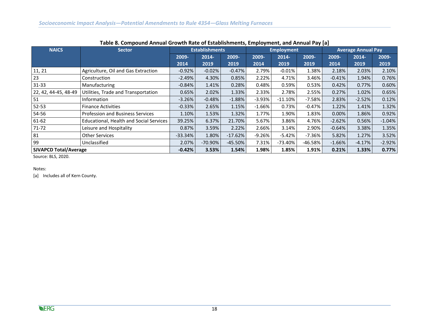| <b>Table of Compositive Althage Orowell Rate of Establishments, Employment, and Althage Pay</b> [9] |                                         |           |                       |           |          |                   |           |          |                           |          |
|-----------------------------------------------------------------------------------------------------|-----------------------------------------|-----------|-----------------------|-----------|----------|-------------------|-----------|----------|---------------------------|----------|
| <b>NAICS</b>                                                                                        | <b>Sector</b>                           |           | <b>Establishments</b> |           |          | <b>Employment</b> |           |          | <b>Average Annual Pay</b> |          |
|                                                                                                     |                                         | 2009-     | 2014-                 | 2009-     | 2009-    | 2014-             | 2009-     | 2009-    | 2014-                     | 2009-    |
|                                                                                                     |                                         | 2014      | 2019                  | 2019      | 2014     | 2019              | 2019      | 2014     | 2019                      | 2019     |
| 11, 21                                                                                              | Agriculture, Oil and Gas Extraction     | $-0.92%$  | $-0.02%$              | $-0.47%$  | 2.79%    | $-0.01%$          | 1.38%     | 2.18%    | 2.03%                     | 2.10%    |
| 23                                                                                                  | Construction                            | $-2.49%$  | 4.30%                 | 0.85%     | 2.22%    | 4.71%             | 3.46%     | $-0.41%$ | 1.94%                     | 0.76%    |
| $31 - 33$                                                                                           | Manufacturing                           | $-0.84%$  | 1.41%                 | 0.28%     | 0.48%    | 0.59%             | 0.53%     | 0.42%    | 0.77%                     | 0.60%    |
| 22, 42, 44-45, 48-49                                                                                | Utilities, Trade and Transportation     | 0.65%     | 2.02%                 | 1.33%     | 2.33%    | 2.78%             | 2.55%     | 0.27%    | 1.02%                     | 0.65%    |
| 51                                                                                                  | Information                             | $-3.26%$  | $-0.48%$              | $-1.88%$  | $-3.93%$ | $-11.10\%$        | $-7.58\%$ | 2.83%    | $-2.52%$                  | 0.12%    |
| 52-53                                                                                               | <b>Finance Activities</b>               | $-0.33%$  | 2.65%                 | 1.15%     | $-1.66%$ | 0.73%             | $-0.47%$  | 1.22%    | 1.41%                     | 1.32%    |
| 54-56                                                                                               | <b>Profession and Business Services</b> | 1.10%     | 1.53%                 | 1.32%     | 1.77%    | 1.90%             | 1.83%     | 0.00%    | 1.86%                     | 0.92%    |
| 61-62                                                                                               | Educational, Health and Social Services | 39.25%    | 6.37%                 | 21.70%    | 5.67%    | 3.86%             | 4.76%     | $-2.62%$ | 0.56%                     | $-1.04%$ |
| $71 - 72$                                                                                           | Leisure and Hospitality                 | 0.87%     | 3.59%                 | 2.22%     | 2.66%    | 3.14%             | 2.90%     | $-0.64%$ | 3.38%                     | 1.35%    |
| 81                                                                                                  | <b>Other Services</b>                   | $-33.34%$ | 1.80%                 | $-17.62%$ | -9.26%   | -5.42%            | -7.36%    | 5.82%    | 1.27%                     | 3.52%    |
| 99                                                                                                  | Unclassified                            | 2.07%     | $-70.90\%$            | $-45.50%$ | 7.31%    | $-73.40%$         | -46.58%   | $-1.66%$ | $-4.17%$                  | $-2.92%$ |
| <b>SJVAPCD Total/Average</b>                                                                        |                                         | $-0.42%$  | 3.53%                 | 1.54%     | 1.98%    | 1.85%             | 1.91%     | 0.21%    | 1.33%                     | 0.77%    |

#### **Table 8. Compound Annual Growth Rate of Establishments, Employment, and Annual Pay [a]**

<span id="page-22-0"></span>Source: BLS, 2020.

Notes:

[a] Includes all of Kern County.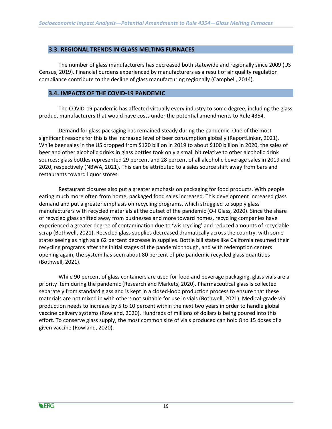### <span id="page-23-0"></span>**3.3. REGIONAL TRENDS IN GLASS MELTING FURNACES**

The number of glass manufacturers has decreased both statewide and regionally since 2009 (US Census, 2019). Financial burdens experienced by manufacturers as a result of air quality regulation compliance contribute to the decline of glass manufacturing regionally (Campbell, 2014).

## **3.4. IMPACTS OF THE COVID-19 PANDEMIC**

The COVID-19 pandemic has affected virtually every industry to some degree, including the glass product manufacturers that would have costs under the potential amendments to Rule 4354.

Demand for glass packaging has remained steady during the pandemic. One of the most significant reasons for this is the increased level of beer consumption globally (ReportLinker, 2021). While beer sales in the US dropped from \$120 billion in 2019 to about \$100 billion in 2020, the sales of beer and other alcoholic drinks in glass bottles took only a small hit relative to other alcoholic drink sources; glass bottles represented 29 percent and 28 percent of all alcoholic beverage sales in 2019 and 2020, respectively (NBWA, 2021). This can be attributed to a sales source shift away from bars and restaurants toward liquor stores.

Restaurant closures also put a greater emphasis on packaging for food products. With people eating much more often from home, packaged food sales increased. This development increased glass demand and put a greater emphasis on recycling programs, which struggled to supply glass manufacturers with recycled materials at the outset of the pandemic (O-I Glass, 2020). Since the share of recycled glass shifted away from businesses and more toward homes, recycling companies have experienced a greater degree of contamination due to 'wishcycling' and reduced amounts of recyclable scrap (Bothwell, 2021). Recycled glass supplies decreased dramatically across the country, with some states seeing as high as a 62 percent decrease in supplies. Bottle bill states like California resumed their recycling programs after the initial stages of the pandemic though, and with redemption centers opening again, the system has seen about 80 percent of pre-pandemic recycled glass quantities (Bothwell, 2021).

While 90 percent of glass containers are used for food and beverage packaging, glass vials are a priority item during the pandemic (Research and Markets, 2020). Pharmaceutical glass is collected separately from standard glass and is kept in a closed-loop production process to ensure that these materials are not mixed in with others not suitable for use in vials (Bothwell, 2021). Medical-grade vial production needs to increase by 5 to 10 percent within the next two years in order to handle global vaccine delivery systems (Rowland, 2020). Hundreds of millions of dollars is being poured into this effort. To conserve glass supply, the most common size of vials produced can hold 8 to 15 doses of a given vaccine (Rowland, 2020).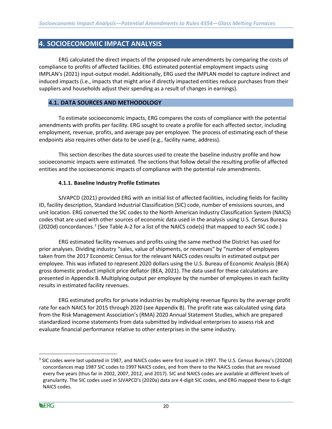# <span id="page-24-0"></span>**4. SOCIOECONOMIC IMPACT ANALYSIS**

ERG calculated the direct impacts of the proposed rule amendments by comparing the costs of compliance to profits of affected facilities. ERG estimated potential employment impacts using IMPLAN's (2021) input-output model. Additionally, ERG used the IMPLAN model to capture indirect and induced impacts (i.e., impacts that might arise if directly impacted entities reduce purchases from their suppliers and households adjust their spending as a result of changes in earnings).

# <span id="page-24-1"></span>**4.1. DATA SOURCES AND METHODOLOGY**

To estimate socioeconomic impacts, ERG compares the costs of compliance with the potential amendments with profits per facility. ERG sought to create a profile for each affected sector, including employment, revenue, profits, and average pay per employee. The process of estimating each of these endpoints also requires other data to be used (e.g., facility name, address).

<span id="page-24-2"></span>This section describes the data sources used to create the baseline industry profile and how socioeconomic impacts were estimated. The sections that follow detail the resulting profile of affected entities and the socioeconomic impacts of compliance with the potential rule amendments.

#### **4.1.1. Baseline Industry Profile Estimates**

SJVAPCD (2021) provided ERG with an initial list of affected facilities, including fields for facility ID, facility description, Standard Industrial Classification (SIC) code, number of emissions sources, and unit location. ERG converted the SIC codes to the North American Industry Classification System (NAICS) codes that are used with other sources of economic data used in the analysis using U.S. Census Bureau  $(2020d)$  concordances.<sup>[3](#page-24-3)</sup> (See [Table A-2](#page-39-2) for a list of the NAICS code(s) that mapped to each SIC code.)

ERG estimated facility revenues and profits using the same method the District has used for prior analyses. Dividing industry "sales, value of shipments, or revenues" by "number of employees taken from the 2017 Economic Census for the relevant NAICS codes results in estimated output per employee. This was inflated to represent 2020 dollars using the U.S. Bureau of Economic Analysis (BEA) gross domestic product implicit price deflator (BEA, 2021). The data used for these calculations are presented in Appendix B. Multiplying output per employee by the number of employees in each facility results in estimated facility revenues.

ERG estimated profits for private industries by multiplying revenue figures by the average profit rate for each NAICS for 2015 through 2020 (see Appendix B). The profit rate was calculated using data from the Risk Management Association's (RMA) 2020 Annual Statement Studies, which are prepared standardized income statements from data submitted by individual enterprises to assess risk and evaluate financial performance relative to other enterprises in the same industry.

<span id="page-24-3"></span> <sup>3</sup> SIC codes were last updated in 1987, and NAICS codes were first issued in 1997. The U.S. Census Bureau's (2020d) concordances map 1987 SIC codes to 1997 NAICS codes, and from there to the NAICS codes that are revised every five years (thus far in 2002, 2007, 2012, and 2017). SIC and NAICS codes are available at different levels of granularity. The SIC codes used in SJVAPCD's (2020a) data are 4-digit SIC codes, and ERG mapped these to 6-digit NAICS codes.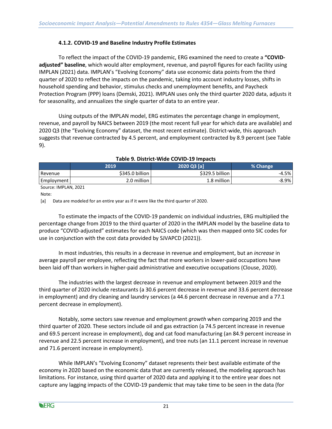# **4.1.2. COVID-19 and Baseline Industry Profile Estimates**

<span id="page-25-0"></span>To reflect the impact of the COVID-19 pandemic, ERG examined the need to create a **"COVIDadjusted" baseline**, which would alter employment, revenue, and payroll figures for each facility using IMPLAN (2021) data. IMPLAN's "Evolving Economy" data use economic data points from the third quarter of 2020 to reflect the impacts on the pandemic, taking into account industry losses, shifts in household spending and behavior, stimulus checks and unemployment benefits, and Paycheck Protection Program (PPP) loans (Demski, 2021). IMPLAN uses only the third quarter 2020 data, adjusts it for seasonality, and annualizes the single quarter of data to an entire year.

Using outputs of the IMPLAN model, ERG estimates the percentage change in employment, revenue, and payroll by NAICS between 2019 (the most recent full year for which data are available) and 2020 Q3 (the "Evolving Economy" dataset, the most recent estimate). District-wide, this approach suggests that revenue contracted by 4.5 percent, and employment contracted by 8.9 percent (se[e Table](#page-25-1)  [9\)](#page-25-1).

<span id="page-25-1"></span>

|            | 2019            | 2020 Q3 [a]     | % Change |  |  |  |  |  |  |  |
|------------|-----------------|-----------------|----------|--|--|--|--|--|--|--|
| Revenue    | \$345.0 billion | \$329.5 billion | $-4.5%$  |  |  |  |  |  |  |  |
| Employment | 2.0 million     | 1.8 million l   | $-8.9\%$ |  |  |  |  |  |  |  |
|            |                 |                 |          |  |  |  |  |  |  |  |

## **Table 9. District-Wide COVID-19 Impacts**

Source: IMPLAN, 2021

[a] Data are modeled for an entire year as if it were like the third quarter of 2020.

To estimate the impacts of the COVID-19 pandemic on individual industries, ERG multiplied the percentage change from 2019 to the third quarter of 2020 in the IMPLAN model by the baseline data to produce "COVID-adjusted" estimates for each NAICS code (which was then mapped onto SIC codes for use in conjunction with the cost data provided by SJVAPCD (2021)).

In most industries, this results in a decrease in revenue and employment, but an *increase* in average payroll per employee, reflecting the fact that more workers in lower-paid occupations have been laid off than workers in higher-paid administrative and executive occupations (Clouse, 2020).

The industries with the largest decrease in revenue and employment between 2019 and the third quarter of 2020 include restaurants (a 30.6 percent decrease in revenue and 33.6 percent decrease in employment) and dry cleaning and laundry services (a 44.6 percent decrease in revenue and a 77.1 percent decrease in employment).

Notably, some sectors saw revenue and employment *growth* when comparing 2019 and the third quarter of 2020. These sectors include oil and gas extraction (a 74.5 percent increase in revenue and 69.5 percent increase in employment), dog and cat food manufacturing (an 84.9 percent increase in revenue and 22.5 percent increase in employment), and tree nuts (an 11.1 percent increase in revenue and 71.6 percent increase in employment).

While IMPLAN's "Evolving Economy" dataset represents their best available estimate of the economy in 2020 based on the economic data that are currently released, the modeling approach has limitations. For instance, using third quarter of 2020 data and applying it to the entire year does not capture any lagging impacts of the COVID-19 pandemic that may take time to be seen in the data (for

Note: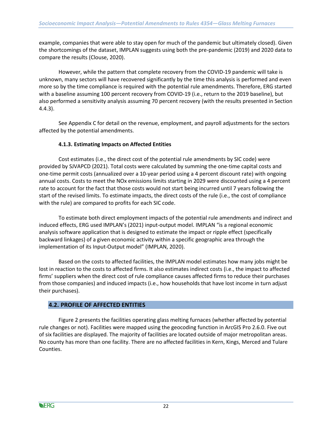example, companies that were able to stay open for much of the pandemic but ultimately closed). Given the shortcomings of the dataset, IMPLAN suggests using both the pre-pandemic (2019) and 2020 data to compare the results (Clouse, 2020).

However, while the pattern that complete recovery from the COVID-19 pandemic will take is unknown, many sectors will have recovered significantly by the time this analysis is performed and even more so by the time compliance is required with the potential rule amendments. Therefore, ERG started with a baseline assuming 100 percent recovery from COVID-19 (i.e., return to the 2019 baseline), but also performed a sensitivity analysis assuming 70 percent recovery (with the results presented in Section [4.4.3\)](#page-30-0).

Se[e Appendix C](#page-42-0) for detail on the revenue, employment, and payroll adjustments for the sectors affected by the potential amendments.

# **4.1.3. Estimating Impacts on Affected Entities**

<span id="page-26-1"></span><span id="page-26-0"></span>Cost estimates (i.e., the direct cost of the potential rule amendments by SIC code) were provided by SJVAPCD (2021). Total costs were calculated by summing the one-time capital costs and one-time permit costs (annualized over a 10-year period using a 4 percent discount rate) with ongoing annual costs. Costs to meet the NOx emissions limits starting in 2029 were discounted using a 4 percent rate to account for the fact that those costs would not start being incurred until 7 years following the start of the revised limits. To estimate impacts, the direct costs of the rule (i.e., the cost of compliance with the rule) are compared to profits for each SIC code.

To estimate both direct employment impacts of the potential rule amendments and indirect and induced effects, ERG used IMPLAN's (2021) input-output model. IMPLAN "is a regional economic analysis software application that is designed to estimate the impact or ripple effect (specifically backward linkages) of a given economic activity within a specific geographic area through the implementation of its Input-Output model" (IMPLAN, 2020).

Based on the costs to affected facilities, the IMPLAN model estimates how many jobs might be lost in reaction to the costs to affected firms. It also estimates indirect costs (i.e., the impact to affected firms' suppliers when the direct cost of rule compliance causes affected firms to reduce their purchases from those companies) and induced impacts (i.e., how households that have lost income in turn adjust their purchases).

# <span id="page-26-2"></span>**4.2. PROFILE OF AFFECTED ENTITIES**

[Figure 2](#page-27-0) presents the facilities operating glass melting furnaces (whether affected by potential rule changes or not). Facilities were mapped using the geocoding function in ArcGIS Pro 2.6.0. Five out of six facilities are displayed. The majority of facilities are located outside of major metropolitan areas. No county has more than one facility. There are no affected facilities in Kern, Kings, Merced and Tulare Counties.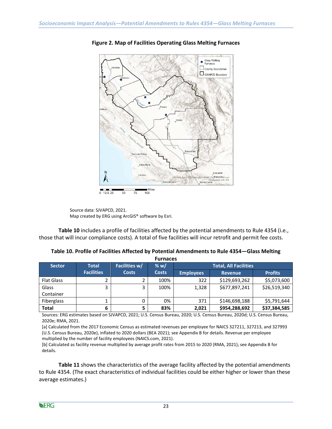

## <span id="page-27-0"></span>**Figure 2. Map of Facilities Operating Glass Melting Furnaces**

Source data: SJVAPCD, 2021. Map created by ERG using ArcGIS® software by Esri.

**[Table 10](#page-27-1)** includes a profile of facilities affected by the potential amendments to Rule 4354 (i.e., those that will incur compliance costs). A total of five facilities will incur retrofit and permit fee costs.

<span id="page-27-1"></span>

| Table 10. Profile of Facilities Affected by Potential Amendments to Rule 4354 – Glass Melting |                               |  |      |                              |  |  |  |
|-----------------------------------------------------------------------------------------------|-------------------------------|--|------|------------------------------|--|--|--|
| <b>Furnaces</b>                                                                               |                               |  |      |                              |  |  |  |
| <b>Sector</b>                                                                                 | <b>Facilities w/</b><br>Total |  | % w/ | <b>Total. All Facilities</b> |  |  |  |
|                                                                                               |                               |  |      |                              |  |  |  |

| <b>Sector</b>     | <b>Total</b>      | Facilities w/ | % w/         | <b>Total, All Facilities</b> |                |                |
|-------------------|-------------------|---------------|--------------|------------------------------|----------------|----------------|
|                   | <b>Facilities</b> | <b>Costs</b>  | <b>Costs</b> | <b>Employees</b>             | <b>Revenue</b> | <b>Profits</b> |
| <b>Flat Glass</b> |                   |               | 100%         | 322                          | \$129,693,262  | \$5,073,600    |
| Glass             |                   |               | 100%         | 1,328                        | \$677,897,241  | \$26,519,340   |
| Container         |                   |               |              |                              |                |                |
| Fiberglass        |                   |               | 0%           | 371                          | \$146,698,188  | \$5,791,644    |
| <b>Total</b>      | 6                 | 5             | 83%          | 2,021                        | \$954,288,692  | \$37,384,585   |

Sources: ERG estimates based on SJVAPCD, 2021; U.S. Census Bureau, 2020; U.S. Census Bureau, 2020d; U.S. Census Bureau, 2020e; RMA, 2021.

[a] Calculated from the 2017 Economic Census as estimated revenues per employee for NAICS 327211, 327213, and 327993 (U.S. Census Bureau, 2020e), inflated to 2020 dollars (BEA 2021); see Appendix B for details. Revenue per employee multiplied by the number of facility employees (NAICS.com, 2021).

[b] Calculated as facility revenue multiplied by average profit rates from 2015 to 2020 (RMA, 2021); see Appendix B for details.

**[Table 11](#page-28-1)** shows the characteristics of the average facility affected by the potential amendments to Rule 4354. (The exact characteristics of individual facilities could be either higher or lower than these average estimates.)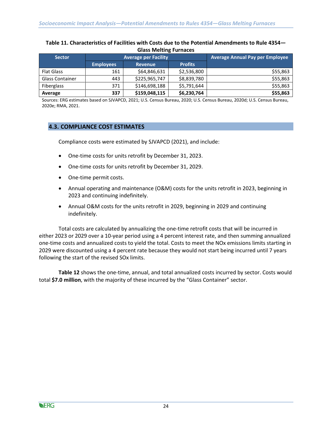### <span id="page-28-1"></span>**Table 11. Characteristics of Facilities with Costs due to the Potential Amendments to Rule 4354— Glass Melting Furnaces**

| <b>Sector</b>          |                  | <b>Average per Facility</b> | <b>Average Annual Pay per Employee</b> |          |
|------------------------|------------------|-----------------------------|----------------------------------------|----------|
|                        | <b>Employees</b> | <b>Revenue</b>              | <b>Profits</b>                         |          |
| <b>Flat Glass</b>      | 161              | \$64,846,631                | \$2,536,800                            | \$55,863 |
| <b>Glass Container</b> | 443              | \$225,965,747               | \$8,839,780                            | \$55,863 |
| Fiberglass             | 371              | \$146,698,188               | \$5,791,644                            | \$55,863 |
| Average                | 337              | \$159,048,115               | \$6,230,764                            | \$55,863 |

Sources: ERG estimates based on SJVAPCD, 2021; U.S. Census Bureau, 2020; U.S. Census Bureau, 2020d; U.S. Census Bureau, 2020e; RMA, 2021.

### <span id="page-28-0"></span>**4.3. COMPLIANCE COST ESTIMATES**

Compliance costs were estimated by SJVAPCD (2021), and include:

- One-time costs for units retrofit by December 31, 2023.
- One-time costs for units retrofit by December 31, 2029.
- One-time permit costs.
- Annual operating and maintenance (O&M) costs for the units retrofit in 2023, beginning in 2023 and continuing indefinitely.
- Annual O&M costs for the units retrofit in 2029, beginning in 2029 and continuing indefinitely.

Total costs are calculated by annualizing the one-time retrofit costs that will be incurred in either 2023 or 2029 over a 10-year period using a 4 percent interest rate, and then summing annualized one-time costs and annualized costs to yield the total. Costs to meet the NOx emissions limits starting in 2029 were discounted using a 4 percent rate because they would not start being incurred until 7 years following the start of the revised SOx limits.

**[Table 12](#page-29-3)** shows the one-time, annual, and total annualized costs incurred by sector. Costs would total **\$7.0 million**, with the majority of these incurred by the "Glass Container" sector.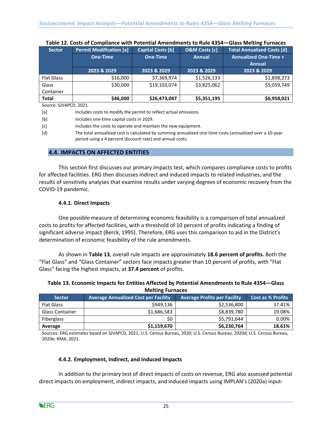| <b>Permit Modification [a]</b> | <b>Capital Costs [b]</b> | <b>O&amp;M Costs [c]</b> | <b>Total Annualized Costs [d]</b> |
|--------------------------------|--------------------------|--------------------------|-----------------------------------|
| One-Time                       | <b>One-Time</b>          | <b>Annual</b>            | <b>Annualized One-Time +</b>      |
|                                |                          |                          | Annual                            |
| 2023 & 2029                    | 2023 & 2029              | 2023 & 2029              | 2023 & 2029                       |
| \$16,000                       | \$7,369,974              | \$1,526,133              | \$1,898,273                       |
| \$30,000                       | \$19,103,074             | \$3,825,062              | \$5,059,749                       |
|                                |                          |                          |                                   |
| \$46,000                       | \$26,473,047             | \$5,351,195              | \$6,958,021                       |
|                                |                          |                          |                                   |

# <span id="page-29-3"></span>**Table 12. Costs of Compliance with Potential Amendments to Rule 4354—Glass Melting Furnaces**

Source: SJVAPCD, 2021.

[a] Includes costs to modify the permit to reflect actual emissions.

[b] Includes one-time capital costs in 2029.

[c] Includes the costs to operate and maintain the new equipment.

[d] The total annualized cost is calculated by summing annualized one-time costs (annualized over a 10-year period using a 4 percent discount rate) and annual costs.

# <span id="page-29-0"></span>**4.4. IMPACTS ON AFFECTED ENTITIES**

This section first discusses our primary impacts test, which compares compliance costs to profits for affected facilities. ERG then discusses indirect and induced impacts to related industries, and the results of sensitivity analyses that examine results under varying degrees of economic recovery from the COVID-19 pandemic.

## **4.4.1. Direct Impacts**

<span id="page-29-1"></span>One possible measure of determining economic feasibility is a comparison of total annualized costs to profits for affected facilities, with a threshold of 10 percent of profits indicating a finding of significant adverse impact (Berck, 1995). Therefore, ERG uses this comparison to aid in the District's determination of economic feasibility of the rule amendments.

As shown in **[Table 13](#page-29-4)**, overall rule impacts are approximately **18.6 percent of profits.** Both the "Flat Glass" and "Glass Container" sectors face impacts greater than 10 percent of profits, with "Flat Glass" facing the highest impacts, at **37.4 percent** of profits.

## <span id="page-29-4"></span>**Table 13. Economic Impacts for Entities Affected by Potential Amendments to Rule 4354—Glass Melting Furnaces**

| <b>Sector</b>          | <b>Average Annualized Cost per Facility</b> | <b>Average Profits per Facility</b> | <b>Cost as % Profits</b> ' |
|------------------------|---------------------------------------------|-------------------------------------|----------------------------|
| <b>Flat Glass</b>      | \$949.136                                   | \$2,536,800                         | 37.41%                     |
| <b>Glass Container</b> | \$1,686,583                                 | \$8,839,780                         | 19.08%                     |
| Fiberglass             | \$0                                         | \$5,791,644                         | 0.00%                      |
| Average                | \$1,159,670                                 | \$6,230,764                         | 18.61%                     |

<span id="page-29-2"></span>Sources: ERG estimates based on SJVAPCD, 2021; U.S. Census Bureau, 2020; U.S. Census Bureau, 2020d; U.S. Census Bureau, 2020e; RMA, 2021.

# **4.4.2. Employment, Indirect, and Induced Impacts**

In addition to the primary test of direct impacts of costs on revenue, ERG also assessed potential direct impacts on employment, indirect impacts, and induced impacts using IMPLAN's (2020a) input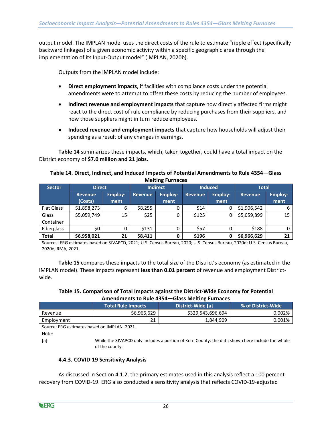output model. The IMPLAN model uses the direct costs of the rule to estimate "ripple effect (specifically backward linkages) of a given economic activity within a specific geographic area through the implementation of its Input-Output model" (IMPLAN, 2020b).

Outputs from the IMPLAN model include:

- **Direct employment impacts**, if facilities with compliance costs under the potential amendments were to attempt to offset these costs by reducing the number of employees.
- **Indirect revenue and employment impacts** that capture how directly affected firms might react to the direct cost of rule compliance by reducing purchases from their suppliers, and how those suppliers might in turn reduce employees.
- **Induced revenue and employment impacts** that capture how households will adjust their spending as a result of any changes in earnings.

**[Table 14](#page-30-1)** summarizes these impacts, which, taken together, could have a total impact on the District economy of **\$7.0 million and 21 jobs.**

<span id="page-30-1"></span>

| Table 14. Direct, Indirect, and Induced Impacts of Potential Amendments to Rule 4354–Glass |  |  |  |  |  |  |
|--------------------------------------------------------------------------------------------|--|--|--|--|--|--|
| <b>Melting Furnaces</b>                                                                    |  |  |  |  |  |  |
|                                                                                            |  |  |  |  |  |  |

| <b>Sector</b>     | <b>Direct</b>             |                 | <b>Indirect</b> |                        | <b>Induced</b> |                        | Total          |                        |
|-------------------|---------------------------|-----------------|-----------------|------------------------|----------------|------------------------|----------------|------------------------|
|                   | <b>Revenue</b><br>(Costs) | Employ-<br>ment | <b>Revenue</b>  | <b>Employ-</b><br>ment | <b>Revenue</b> | <b>Employ-</b><br>ment | <b>Revenue</b> | <b>Employ-</b><br>ment |
| <b>Flat Glass</b> | \$1,898,273               | 6               | \$8,255         | 0                      | \$14           | 0                      | \$1,906,542    | 6                      |
| Glass             | \$5,059,749               | 15              | \$25            | 0                      | \$125          | 0                      | \$5,059,899    | 15                     |
| Container         |                           |                 |                 |                        |                |                        |                |                        |
| Fiberglass        | \$0                       |                 | \$131           | 0                      | \$57           | 0                      | \$188          |                        |
| <b>Total</b>      | \$6,958,021               | 21              | \$8,411         | 0                      | \$196          | 0                      | \$6,966,629    | 21                     |

Sources: ERG estimates based on SJVAPCD, 2021; U.S. Census Bureau, 2020; U.S. Census Bureau, 2020d; U.S. Census Bureau, 2020e; RMA, 2021.

**[Table 15](#page-30-2)** compares these impacts to the total size of the District's economy (as estimated in the IMPLAN model). These impacts represent **less than 0.01 percent** of revenue and employment Districtwide.

| Table 15. Comparison of Total Impacts against the District-Wide Economy for Potential |
|---------------------------------------------------------------------------------------|
| <b>Amendments to Rule 4354–Glass Melting Furnaces</b>                                 |

<span id="page-30-2"></span>

|                                              | Total Rule Impacts | District-Wide [a] | % of District-Wide |  |  |  |  |  |  |
|----------------------------------------------|--------------------|-------------------|--------------------|--|--|--|--|--|--|
| Revenue                                      | \$6,966,629        | \$329,543,696,694 | 0.002%             |  |  |  |  |  |  |
| Employment                                   |                    | 1.844.909         | 0.001%             |  |  |  |  |  |  |
| Source: ERG estimates based on IMPLAN, 2021. |                    |                   |                    |  |  |  |  |  |  |

Note:

<span id="page-30-0"></span>

[a] While the SJVAPCD only includes a portion of Kern County, the data shown here include the whole of the county.

# **4.4.3. COVID-19 Sensitivity Analysis**

As discussed in Section [4.1.2,](#page-25-0) the primary estimates used in this analysis reflect a 100 percent recovery from COVID-19. ERG also conducted a sensitivity analysis that reflects COVID-19-adjusted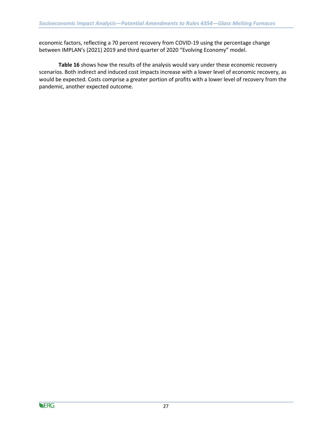economic factors, reflecting a 70 percent recovery from COVID-19 using the percentage change between IMPLAN's (2021) 2019 and third quarter of 2020 "Evolving Economy" model.

**[Table 16](#page-32-0)** shows how the results of the analysis would vary under these economic recovery scenarios. Both indirect and induced cost impacts increase with a lower level of economic recovery, as would be expected. Costs comprise a greater portion of profits with a lower level of recovery from the pandemic, another expected outcome.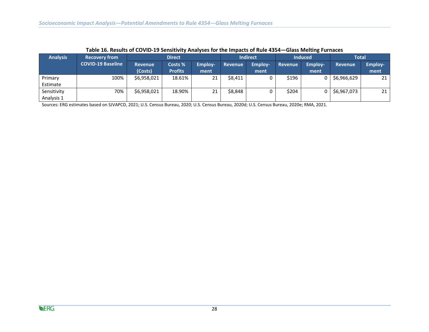| <b>Analysis</b> | <b>Recovery from</b>     |                    | <b>Direct</b>             |                        |         | <b>Indirect</b>        |         | <b>Induced</b>         | <b>Total</b>   |                        |
|-----------------|--------------------------|--------------------|---------------------------|------------------------|---------|------------------------|---------|------------------------|----------------|------------------------|
|                 | <b>COVID-19 Baseline</b> | Revenue<br>(Costs) | Costs %<br><b>Profits</b> | <b>Employ-</b><br>ment | Revenue | <b>Employ-</b><br>ment | Revenue | <b>Employ-</b><br>ment | <b>Revenue</b> | <b>Employ-</b><br>ment |
|                 |                          |                    |                           |                        |         |                        |         |                        |                |                        |
| Primary         | 100%                     | \$6,958,021        | 18.61%                    | 21                     | \$8,411 |                        | \$196   | ∩                      | \$6,966,629    | 21                     |
| Estimate        |                          |                    |                           |                        |         |                        |         |                        |                |                        |
| Sensitivity     | 70%                      | \$6,958,021        | 18.90%                    | 21                     | \$8,848 |                        | \$204   | 0                      | \$6,967,073    | 21                     |
| Analysis 1      |                          |                    |                           |                        |         |                        |         |                        |                |                        |

#### **Table 16. Results of COVID-19 Sensitivity Analyses for the Impacts of Rule 4354—Glass Melting Furnaces**

<span id="page-32-0"></span>Sources: ERG estimates based on SJVAPCD, 2021; U.S. Census Bureau, 2020; U.S. Census Bureau, 2020d; U.S. Census Bureau, 2020e; RMA, 2021.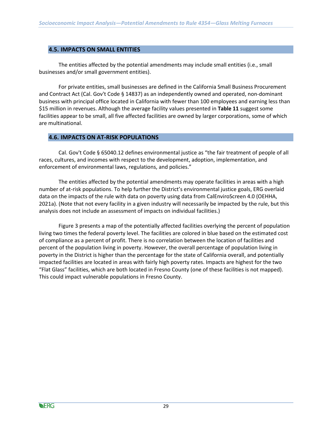## <span id="page-33-0"></span>**4.5. IMPACTS ON SMALL ENTITIES**

The entities affected by the potential amendments may include small entities (i.e., small businesses and/or small government entities).

For private entities, small businesses are defined in the California Small Business Procurement and Contract Act (Cal. Gov't Code § 14837) as an independently owned and operated, non-dominant business with principal office located in California with fewer than 100 employees and earning less than \$15 million in revenues. Although the average facility values presented in **[Table 11](#page-28-1)** suggest some facilities appear to be small, all five affected facilities are owned by larger corporations, some of which are multinational.

#### <span id="page-33-1"></span>**4.6. IMPACTS ON AT-RISK POPULATIONS**

Cal. Gov't Code § 65040.12 defines environmental justice as "the fair treatment of people of all races, cultures, and incomes with respect to the development, adoption, implementation, and enforcement of environmental laws, regulations, and policies."

The entities affected by the potential amendments may operate facilities in areas with a high number of at-risk populations. To help further the District's environmental justice goals, ERG overlaid data on the impacts of the rule with data on poverty using data from CalEnviroScreen 4.0 (OEHHA, 2021a). (Note that not every facility in a given industry will necessarily be impacted by the rule, but this analysis does not include an assessment of impacts on individual facilities.)

[Figure 3](#page-34-0) presents a map of the potentially affected facilities overlying the percent of population living two times the federal poverty level. The facilities are colored in blue based on the estimated cost of compliance as a percent of profit. There is no correlation between the location of facilities and percent of the population living in poverty. However, the overall percentage of population living in poverty in the District is higher than the percentage for the state of California overall, and potentially impacted facilities are located in areas with fairly high poverty rates. Impacts are highest for the two "Flat Glass" facilities, which are both located in Fresno County (one of these facilities is not mapped). This could impact vulnerable populations in Fresno County.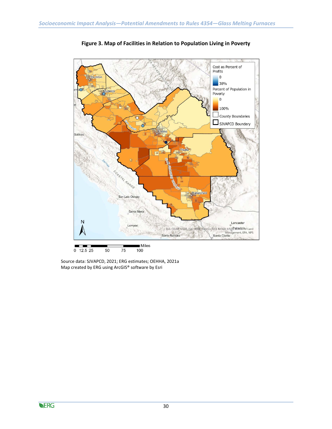<span id="page-34-0"></span>

**Figure 3. Map of Facilities in Relation to Population Living in Poverty**

Source data: SJVAPCD, 2021; ERG estimates; OEHHA, 2021a Map created by ERG using ArcGIS® software by Esri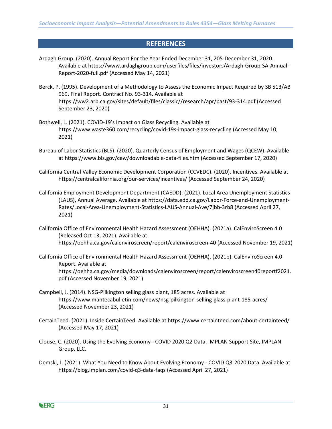# **REFERENCES**

- <span id="page-35-0"></span>Ardagh Group. (2020). Annual Report For the Year Ended December 31, 205-December 31, 2020. Available at https://www.ardaghgroup.com/userfiles/files/investors/Ardagh-Group-SA-Annual-Report-2020-full.pdf (Accessed May 14, 2021)
- Berck, P. (1995). Development of a Methodology to Assess the Economic Impact Required by SB 513/AB 969. Final Report. Contract No. 93-314. Available at https://ww2.arb.ca.gov/sites/default/files/classic//research/apr/past/93-314.pdf (Accessed September 23, 2020)
- Bothwell, L. (2021). COVID-19's Impact on Glass Recycling. Available at https://www.waste360.com/recycling/covid-19s-impact-glass-recycling (Accessed May 10, 2021)
- Bureau of Labor Statistics (BLS). (2020). Quarterly Census of Employment and Wages (QCEW). Available at https://www.bls.gov/cew/downloadable-data-files.htm (Accessed September 17, 2020)
- California Central Valley Economic Development Corporation (CCVEDC). (2020). Incentives. Available at https://centralcalifornia.org/our-services/incentives/ (Accessed September 24, 2020)
- California Employment Development Department (CAEDD). (2021). Local Area Unemployment Statistics (LAUS), Annual Average. Available at https://data.edd.ca.gov/Labor-Force-and-Unemployment-Rates/Local-Area-Unemployment-Statistics-LAUS-Annual-Ave/7jbb-3rb8 (Accessed April 27, 2021)
- California Office of Environmental Health Hazard Assessment (OEHHA). (2021a). CalEnviroScreen 4.0 (Released Oct 13, 2021). Available at https://oehha.ca.gov/calenviroscreen/report/calenviroscreen-40 (Accessed November 19, 2021)
- California Office of Environmental Health Hazard Assessment (OEHHA). (2021b). CalEnviroScreen 4.0 Report. Available at https://oehha.ca.gov/media/downloads/calenviroscreen/report/calenviroscreen40reportf2021. pdf (Accessed November 19, 2021)
- Campbell, J. (2014). NSG-Pilkington selling glass plant, 185 acres. Available at https://www.mantecabulletin.com/news/nsg-pilkington-selling-glass-plant-185-acres/ (Accessed November 23, 2021)
- CertainTeed. (2021). Inside CertainTeed. Available at https://www.certainteed.com/about-certainteed/ (Accessed May 17, 2021)
- Clouse, C. (2020). Using the Evolving Economy COVID 2020 Q2 Data. IMPLAN Support Site, IMPLAN Group, LLC.
- Demski, J. (2021). What You Need to Know About Evolving Economy COVID Q3-2020 Data. Available at https://blog.implan.com/covid-q3-data-faqs (Accessed April 27, 2021)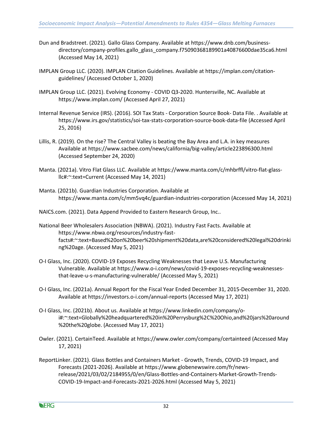- Dun and Bradstreet. (2021). Gallo Glass Company. Available at https://www.dnb.com/businessdirectory/company-profiles.gallo\_glass\_company.f75090368189901a40876600dae35ca6.html (Accessed May 14, 2021)
- IMPLAN Group LLC. (2020). IMPLAN Citation Guidelines. Available at https://implan.com/citationguidelines/ (Accessed October 1, 2020)
- IMPLAN Group LLC. (2021). Evolving Economy COVID Q3-2020. Huntersville, NC. Available at https://www.implan.com/ (Accessed April 27, 2021)
- Internal Revenue Service (IRS). (2016). SOI Tax Stats Corporation Source Book- Data File. . Available at https://www.irs.gov/statistics/soi-tax-stats-corporation-source-book-data-file (Accessed April 25, 2016)
- Lillis, R. (2019). On the rise? The Central Valley is beating the Bay Area and L.A. in key measures Available at https://www.sacbee.com/news/california/big-valley/article223896300.html (Accessed September 24, 2020)
- Manta. (2021a). Vitro Flat Glass LLC. Available at https://www.manta.com/c/mhbrffl/vitro-flat-glassllc#:~:text=Current (Accessed May 14, 2021)
- Manta. (2021b). Guardian Industries Corporation. Available at https://www.manta.com/c/mm5vq4c/guardian-industries-corporation (Accessed May 14, 2021)
- NAICS.com. (2021). Data Append Provided to Eastern Research Group, Inc..
- National Beer Wholesalers Association (NBWA). (2021). Industry Fast Facts. Available at https://www.nbwa.org/resources/industry-fastfacts#:~:text=Based%20on%20beer%20shipment%20data,are%20considered%20legal%20drinki ng%20age. (Accessed May 5, 2021)
- O-I Glass, Inc. (2020). COVID-19 Exposes Recycling Weaknesses that Leave U.S. Manufacturing Vulnerable. Available at https://www.o-i.com/news/covid-19-exposes-recycling-weaknessesthat-leave-u-s-manufacturing-vulnerable/ (Accessed May 5, 2021)
- O-I Glass, Inc. (2021a). Annual Report for the Fiscal Year Ended December 31, 2015-December 31, 2020. Available at https://investors.o-i.com/annual-reports (Accessed May 17, 2021)
- O-I Glass, Inc. (2021b). About us. Available at https://www.linkedin.com/company/oi#:~:text=Globally%20headquartered%20in%20Perrysburg%2C%20Ohio,and%20jars%20around %20the%20globe. (Accessed May 17, 2021)
- Owler. (2021). CertainTeed. Available at https://www.owler.com/company/certainteed (Accessed May 17, 2021)
- ReportLinker. (2021). Glass Bottles and Containers Market Growth, Trends, COVID-19 Impact, and Forecasts (2021-2026). Available at https://www.globenewswire.com/fr/newsrelease/2021/03/02/2184955/0/en/Glass-Bottles-and-Containers-Market-Growth-Trends-COVID-19-Impact-and-Forecasts-2021-2026.html (Accessed May 5, 2021)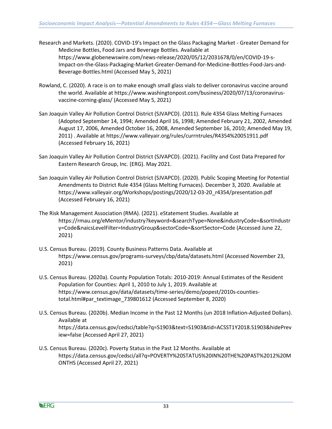- Research and Markets. (2020). COVID-19's Impact on the Glass Packaging Market Greater Demand for Medicine Bottles, Food Jars and Beverage Bottles. Available at https://www.globenewswire.com/news-release/2020/05/12/2031678/0/en/COVID-19-s-Impact-on-the-Glass-Packaging-Market-Greater-Demand-for-Medicine-Bottles-Food-Jars-and-Beverage-Bottles.html (Accessed May 5, 2021)
- Rowland, C. (2020). A race is on to make enough small glass vials to deliver coronavirus vaccine around the world. Available at https://www.washingtonpost.com/business/2020/07/13/coronavirusvaccine-corning-glass/ (Accessed May 5, 2021)
- San Joaquin Valley Air Pollution Control District (SJVAPCD). (2011). Rule 4354 Glass Melting Furnaces (Adopted September 14, 1994; Amended April 16, 1998; Amended February 21, 2002, Amended August 17, 2006, Amended October 16, 2008, Amended September 16, 2010; Amended May 19, 2011) . Available at https://www.valleyair.org/rules/currntrules/R4354%20051911.pdf (Accessed February 16, 2021)
- San Joaquin Valley Air Pollution Control District (SJVAPCD). (2021). Facility and Cost Data Prepared for Eastern Research Group, Inc. (ERG). May 2021.
- San Joaquin Valley Air Pollution Control District (SJVAPCD). (2020). Public Scoping Meeting for Potential Amendments to District Rule 4354 (Glass Melting Furnaces). December 3, 2020. Available at https://www.valleyair.org/Workshops/postings/2020/12-03-20\_r4354/presentation.pdf (Accessed February 16, 2021)
- The Risk Management Association (RMA). (2021). eStatement Studies. Available at https://rmau.org/eMentor/industry?keyword=&searchType=None&industryCode=&sortIndustr y=Code&naicsLevelFilter=IndustryGroup&sectorCode=&sortSector=Code (Accessed June 22, 2021)
- U.S. Census Bureau. (2019). County Business Patterns Data. Available at https://www.census.gov/programs-surveys/cbp/data/datasets.html (Accessed November 23, 2021)
- U.S. Census Bureau. (2020a). County Population Totals: 2010-2019: Annual Estimates of the Resident Population for Counties: April 1, 2010 to July 1, 2019. Available at https://www.census.gov/data/datasets/time-series/demo/popest/2010s-countiestotal.html#par\_textimage\_739801612 (Accessed September 8, 2020)
- U.S. Census Bureau. (2020b). Median Income in the Past 12 Months (un 2018 Inflation-Adjusted Dollars). Available at https://data.census.gov/cedsci/table?q=S1903&text=S1903&tid=ACSST1Y2018.S1903&hidePrev iew=false (Accessed April 27, 2021)
- U.S. Census Bureau. (2020c). Poverty Status in the Past 12 Months. Available at https://data.census.gov/cedsci/all?q=POVERTY%20STATUS%20IN%20THE%20PAST%2012%20M ONTHS (Accessed April 27, 2021)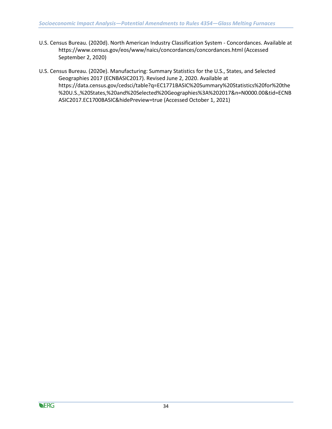- U.S. Census Bureau. (2020d). North American Industry Classification System Concordances. Available at https://www.census.gov/eos/www/naics/concordances/concordances.html (Accessed September 2, 2020)
- U.S. Census Bureau. (2020e). Manufacturing: Summary Statistics for the U.S., States, and Selected Geographies 2017 (ECNBASIC2017). Revised June 2, 2020. Available at https://data.census.gov/cedsci/table?q=EC1771BASIC%20Summary%20Statistics%20for%20the %20U.S.,%20States,%20and%20Selected%20Geographies%3A%202017&n=N0000.00&tid=ECNB ASIC2017.EC1700BASIC&hidePreview=true (Accessed October 1, 2021)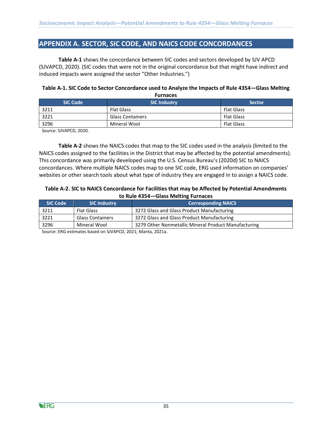# <span id="page-39-0"></span>**APPENDIX A. SECTOR, SIC CODE, AND NAICS CODE CONCORDANCES**

**[Table A-1](#page-39-1)** shows the concordance between SIC codes and sectors developed by SJV APCD (SJVAPCD, 2020). (SIC codes that were not in the original concordance but that might have indirect and induced impacts were assigned the sector "Other Industries.")

#### <span id="page-39-1"></span>**Table A-1. SIC Code to Sector Concordance used to Analyze the Impacts of Rule 4354—Glass Melting Furnaces**

| <b>SIC Code</b> | <b>SIC Industry</b>     | <b>Sector</b>     |
|-----------------|-------------------------|-------------------|
| 3211            | <b>Flat Glass</b>       | <b>Flat Glass</b> |
| 3221            | <b>Glass Containers</b> | <b>Flat Glass</b> |
| 3296            | Mineral Wool            | Flat Glass        |

Source: SJVAPCD, 2020.

**[Table A-2](#page-39-2)** shows the NAICS codes that map to the SIC codes used in the analysis (limited to the NAICS codes assigned to the facilities in the District that may be affected by the potential amendments). This concordance was primarily developed using the U.S. Census Bureau's (2020d) SIC to NAICS concordances. Where multiple NAICS codes map to one SIC code, ERG used information on companies' websites or other search tools about what type of industry they are engaged in to assign a NAICS code.

#### <span id="page-39-2"></span>**Table A-2. SIC to NAICS Concordance for Facilities that may be Affected by Potential Amendments to Rule 4354—Glass Melting Furnaces**

| <b>SIC Code</b> | <b>SIC Industry</b>     | <b>Corresponding NAICS</b>                           |
|-----------------|-------------------------|------------------------------------------------------|
| 3211            | Flat Glass              | 3272 Glass and Glass Product Manufacturing           |
| 3221            | <b>Glass Containers</b> | 3272 Glass and Glass Product Manufacturing           |
| 3296            | Mineral Wool            | 3279 Other Nonmetallic Mineral Product Manufacturing |

Source: ERG estimates based on SJVAPCD, 2021; Manta, 2021a.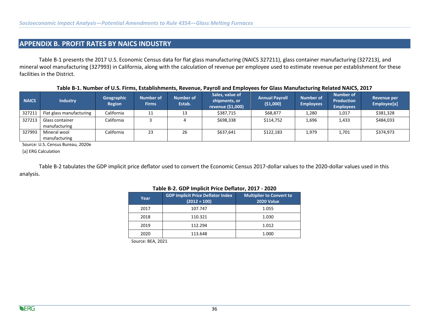# **APPENDIX B. PROFIT RATES BY NAICS INDUSTRY**

[Table B-1](#page-40-1) presents the 2017 U.S. Economic Census data for flat glass manufacturing (NAICS 327211), glass container manufacturing (327213), and mineral wool manufacturing (327993) in California, along with the calculation of revenue per employee used to estimate revenue per establishment for these facilities in the District.

<span id="page-40-1"></span>

| <b>NAICS</b> | <b>Industry</b>                  | Geographic<br><b>Region</b> | Number of<br><b>Firms</b> | Number of<br>Estab. | Sales, value of<br>shipments, or<br>revenue (\$1,000) | <b>Annual Payroll</b><br>( \$1,000) | Number of<br><b>Employees</b> | <b>Number of</b><br><b>Production</b><br><b>Employees</b> | Revenue per<br>Employee[a] |
|--------------|----------------------------------|-----------------------------|---------------------------|---------------------|-------------------------------------------------------|-------------------------------------|-------------------------------|-----------------------------------------------------------|----------------------------|
| 327211       | Flat glass manufacturing         | California                  | 11                        | 13                  | \$387.715                                             | \$68,877                            | 1,280                         | 1,017                                                     | \$381,328                  |
| 327213       | Glass container<br>manufacturing | California                  |                           |                     | \$698,338                                             | \$114,752                           | 1,696                         | 1,433                                                     | \$484,033                  |
| 327993       | Mineral wool<br>manufacturing    | California                  | 23                        | 26                  | \$637,641                                             | \$122.183                           | 1,979                         | 1,701                                                     | \$374,973                  |

<span id="page-40-0"></span>Source: U.S. Census Bureau, 2020e

[a] ERG Calculation

[Table B-2](#page-40-2) tabulates the GDP implicit price deflator used to convert the Economic Census 2017-dollar values to the 2020-dollar values used in this analysis.

<span id="page-40-2"></span>

| Year | <b>GDP Implicit Price Deflator Index</b><br>$(2012 = 100)$ | <b>Multiplier to Convert to</b><br><b>2020 Value</b> |  |  |  |  |  |  |
|------|------------------------------------------------------------|------------------------------------------------------|--|--|--|--|--|--|
| 2017 | 107.747                                                    | 1.055                                                |  |  |  |  |  |  |
| 2018 | 110.321                                                    | 1.030                                                |  |  |  |  |  |  |
| 2019 | 112.294                                                    | 1.012                                                |  |  |  |  |  |  |
| 2020 | 113.648                                                    | 1.000                                                |  |  |  |  |  |  |
|      |                                                            |                                                      |  |  |  |  |  |  |

#### **Table B-2. GDP Implicit Price Deflator, 2017 - 2020**

Source: BEA, 2021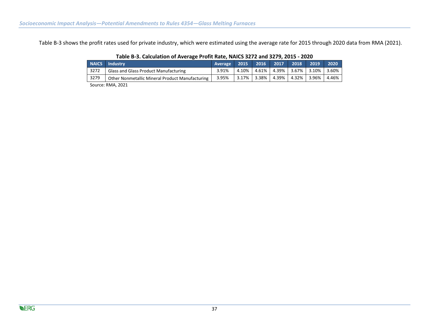[Table B-3](#page-41-0) shows the profit rates used for private industry, which were estimated using the average rate for 2015 through 2020 data from RMA (2021).

<span id="page-41-0"></span>

|        | NAICS Industry                                  | Average 2015 2016 2017 2018 2019 |         |  |                                       | 2020     |
|--------|-------------------------------------------------|----------------------------------|---------|--|---------------------------------------|----------|
| 3272   | <b>Glass and Glass Product Manufacturing</b>    | 3.91%                            | 4.10% l |  | 4.61%   4.39%   3.67%   3.10%         | $3.60\%$ |
| 3279   | Other Nonmetallic Mineral Product Manufacturing | 3.95%                            |         |  | 3.17%   3.38%   4.39%   4.32%   3.96% | 4.46%    |
| $\sim$ | _ _ _ _ _ _ _ _                                 |                                  |         |  |                                       |          |

**Table B-3. Calculation of Average Profit Rate, NAICS 3272 and 3279, 2015 - 2020**

Source: RMA, 2021